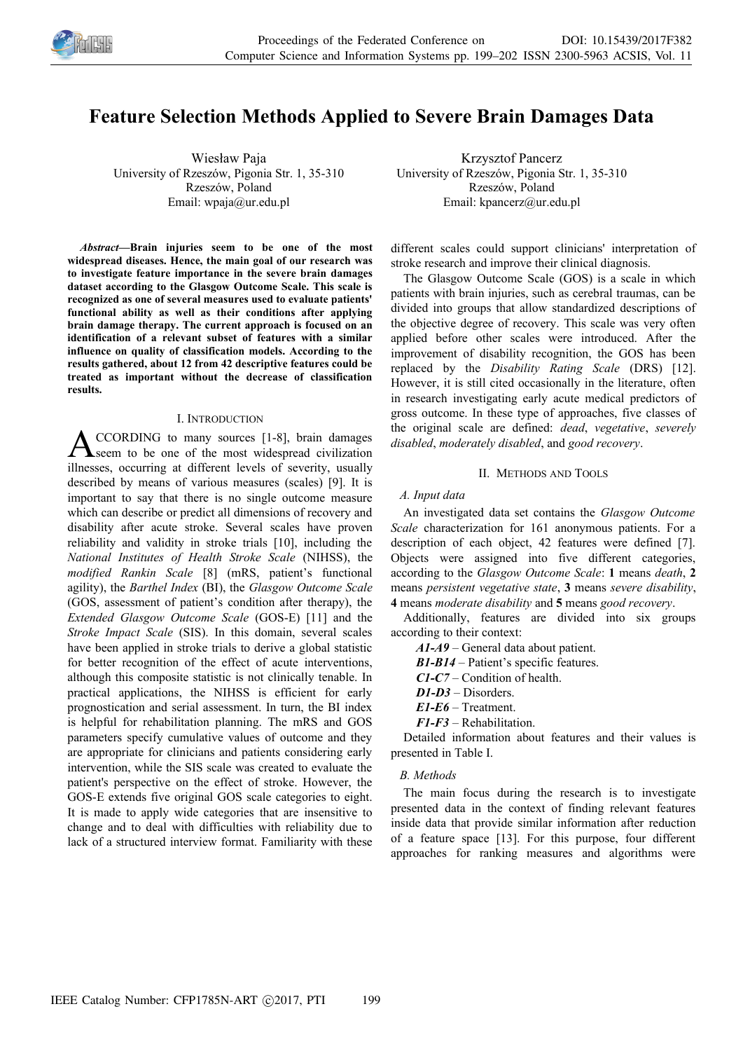

# **Feature Selection Methods Applied to Severe Brain Damages Data**

Wiesław Paja University of Rzeszów, Pigonia Str. 1, 35-310 Rzeszów, Poland Email: wpaja@ur.edu.pl

*Abstract—***Brain injuries seem to be one of the most widespread diseases. Hence, the main goal of our research was to investigate feature importance in the severe brain damages dataset according to the Glasgow Outcome Scale. This scale is recognized as one of several measures used to evaluate patients' functional ability as well as their conditions after applying brain damage therapy. The current approach is focused on an identification of a relevant subset of features with a similar influence on quality of classification models. According to the results gathered, about 12 from 42 descriptive features could be treated as important without the decrease of classification results.**

## I. INTRODUCTION

CCORDING to many sources [1-8], brain damages **ACCORDING** to many sources [1-8], brain damages<br>
allocated to be one of the most widespread civilization illnesses, occurring at different levels of severity, usually described by means of various measures (scales) [9]. It is important to say that there is no single outcome measure which can describe or predict all dimensions of recovery and disability after acute stroke. Several scales have proven reliability and validity in stroke trials [10], including the *National Institutes of Health Stroke Scale* (NIHSS), the *modified Rankin Scale* [8] (mRS, patient's functional agility), the *Barthel Index* (BI), the *Glasgow Outcome Scale* (GOS, assessment of patient's condition after therapy), the *Extended Glasgow Outcome Scale* (GOS-E) [11] and the *Stroke Impact Scale* (SIS). In this domain, several scales have been applied in stroke trials to derive a global statistic for better recognition of the effect of acute interventions, although this composite statistic is not clinically tenable. In practical applications, the NIHSS is efficient for early prognostication and serial assessment. In turn, the BI index is helpful for rehabilitation planning. The mRS and GOS parameters specify cumulative values of outcome and they are appropriate for clinicians and patients considering early intervention, while the SIS scale was created to evaluate the patient's perspective on the effect of stroke. However, the GOS-E extends five original GOS scale categories to eight. It is made to apply wide categories that are insensitive to change and to deal with difficulties with reliability due to lack of a structured interview format. Familiarity with these

Krzysztof Pancerz University of Rzeszów, Pigonia Str. 1, 35-310 Rzeszów, Poland Email: kpancerz@ur.edu.pl

different scales could support clinicians' interpretation of stroke research and improve their clinical diagnosis.

The Glasgow Outcome Scale (GOS) is a scale in which patients with brain injuries, such as cerebral traumas, can be divided into groups that allow standardized descriptions of the objective degree of recovery. This scale was very often applied before other scales were introduced. After the improvement of disability recognition, the GOS has been replaced by the *Disability Rating Scale* (DRS) [12]. However, it is still cited occasionally in the literature, often in research investigating early acute medical predictors of gross outcome. In these type of approaches, five classes of the original scale are defined: *dead*, *vegetative*, *severely disabled*, *moderately disabled*, and *good recovery*.

## II. METHODS AND TOOLS

## *A. Input data*

An investigated data set contains the *Glasgow Outcome Scale* characterization for 161 anonymous patients. For a description of each object, 42 features were defined [7]. Objects were assigned into five different categories, according to the *Glasgow Outcome Scale*: **1** means *death*, **2** means *persistent vegetative state*, **3** means *severe disability*, **4** means *moderate disability* and **5** means *good recovery*.

Additionally, features are divided into six groups according to their context:

*A1-A9* – General data about patient.

*B1-B14* – Patient's specific features.

*C1-C7* – Condition of health.

*D1-D3* – Disorders.

*E1-E6* – Treatment.

*F1-F3* – Rehabilitation.

Detailed information about features and their values is presented in Table I.

## *B. Methods*

The main focus during the research is to investigate presented data in the context of finding relevant features inside data that provide similar information after reduction of a feature space [13]. For this purpose, four different approaches for ranking measures and algorithms were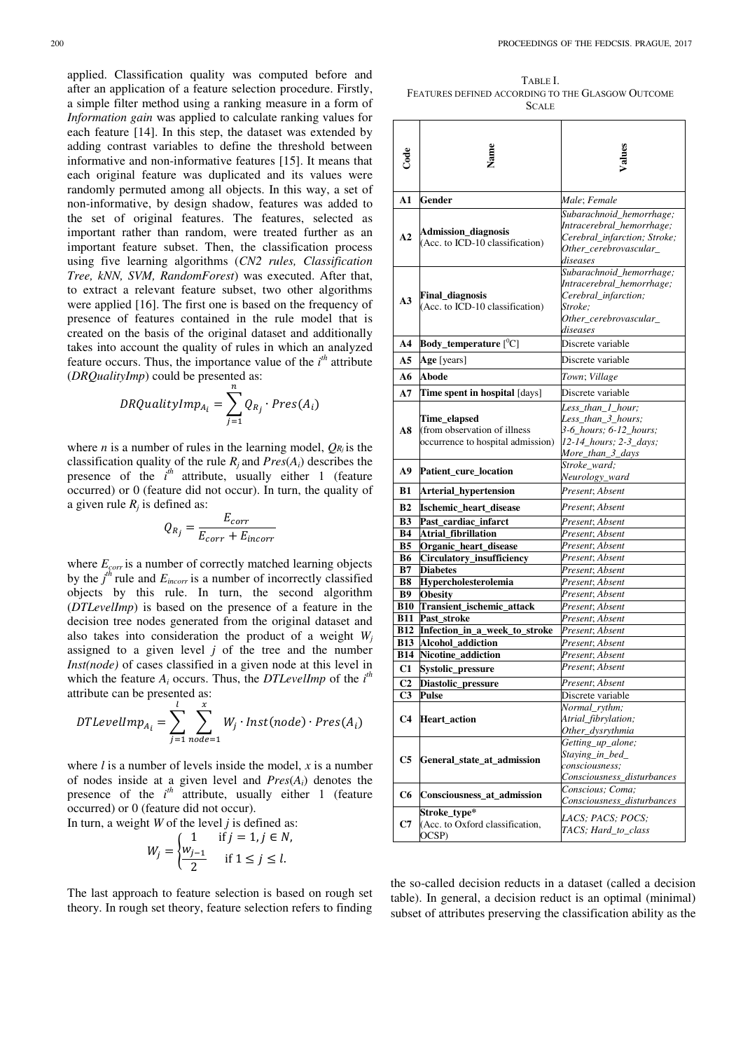applied. Classification quality was computed before and after an application of a feature selection procedure. Firstly, a simple filter method using a ranking measure in a form of *Information gain* was applied to calculate ranking values for each feature [14]. In this step, the dataset was extended by adding contrast variables to define the threshold between informative and non-informative features [15]. It means that each original feature was duplicated and its values were randomly permuted among all objects. In this way, a set of non-informative, by design shadow, features was added to the set of original features. The features, selected as important rather than random, were treated further as an important feature subset. Then, the classification process using five learning algorithms (*CN2 rules, Classification Tree, kNN, SVM, RandomForest*) was executed. After that, to extract a relevant feature subset, two other algorithms were applied [16]. The first one is based on the frequency of presence of features contained in the rule model that is created on the basis of the original dataset and additionally takes into account the quality of rules in which an analyzed feature occurs. Thus, the importance value of the  $i<sup>th</sup>$  attribute (*DRQualityImp*) could be presented as:

$$
DRQualityImp_{A_i} = \sum_{j=1}^{n} Q_{R_j} \cdot Pres(A_i)
$$

where *n* is a number of rules in the learning model,  $Q_{R_i}$  is the classification quality of the rule  $R_i$  and  $Pres(A_i)$  describes the presence of the  $i^{th}$  attribute, usually either 1 (feature occurred) or 0 (feature did not occur). In turn, the quality of a given rule  $R_j$  is defined as:

$$
Q_{Rj} = \frac{E_{corr}}{E_{corr} + E_{incorr}}
$$

where *Ecorr* is a number of correctly matched learning objects by the  $j<sup>th</sup>$  rule and  $E<sub>incorr</sub>$  is a number of incorrectly classified objects by this rule. In turn, the second algorithm (*DTLevelImp*) is based on the presence of a feature in the decision tree nodes generated from the original dataset and also takes into consideration the product of a weight *W<sup>j</sup>* assigned to a given level  $j$  of the tree and the number *Inst(node)* of cases classified in a given node at this level in which the feature  $A_i$  occurs. Thus, the *DTLevelImp* of the  $i<sup>th</sup>$ attribute can be presented as:

$$
DTLevellmp_{A_i} = \sum_{j=1}^{l} \sum_{node=1}^{x} W_j \cdot Inst(node) \cdot Pres(A_i)
$$

where *l* is a number of levels inside the model, *x* is a number of nodes inside at a given level and *Pres*(*Ai*) denotes the presence of the  $i^{th}$  attribute, usually either 1 (feature occurred) or 0 (feature did not occur).

In turn, a weight *W* of the level *j* is defined as:

$$
W_j = \begin{cases} 1 & \text{if } j = 1, j \in N, \\ \frac{W_{j-1}}{2} & \text{if } 1 \le j \le l. \end{cases}
$$

The last approach to feature selection is based on rough set theory. In rough set theory, feature selection refers to finding

TABLE I. FEATURES DEFINED ACCORDING TO THE GLASGOW OUTCOME  $S_{CATE}$ 

| Code             | Name                                                                              |                                                                                                                                |  |  |  |  |  |
|------------------|-----------------------------------------------------------------------------------|--------------------------------------------------------------------------------------------------------------------------------|--|--|--|--|--|
| A1               | Gender                                                                            | Male: Female                                                                                                                   |  |  |  |  |  |
| A2               | <b>Admission_diagnosis</b><br>(Acc. to ICD-10 classification)                     | Subarachnoid_hemorrhage;<br>Intracerebral_hemorrhage;<br>Cerebral_infarction; Stroke;<br>Other cerebrovascular<br>diseases     |  |  |  |  |  |
| A3               | <b>Final_diagnosis</b><br>(Acc. to ICD-10 classification)                         | Subarachnoid_hemorrhage;<br>Intracerebral_hemorrhage;<br>Cerebral_infarction;<br>Stroke;<br>Other_cerebrovascular_<br>diseases |  |  |  |  |  |
| A4               | Body_temperature [ <sup>0</sup> C]                                                | Discrete variable                                                                                                              |  |  |  |  |  |
| A5               | Age [years]                                                                       | Discrete variable                                                                                                              |  |  |  |  |  |
| A6               | Abode                                                                             | Town; Village                                                                                                                  |  |  |  |  |  |
| A7               | Time spent in hospital [days]                                                     | Discrete variable                                                                                                              |  |  |  |  |  |
|                  |                                                                                   | Less_than_1_hour;                                                                                                              |  |  |  |  |  |
| A8               | Time_elapsed<br>(from observation of illness<br>occurrence to hospital admission) | Less_than_3_hours;<br>3-6_hours; 6-12_hours;<br>12-14_hours; 2-3_days;<br>More_than_3_days                                     |  |  |  |  |  |
| A9               | Patient_cure_location                                                             | Stroke_ward;<br>Neurology_ward                                                                                                 |  |  |  |  |  |
| <b>B1</b>        | Arterial_hypertension                                                             | Present; Absent                                                                                                                |  |  |  |  |  |
| B <sub>2</sub>   | Ischemic_heart_disease                                                            | Present; Absent                                                                                                                |  |  |  |  |  |
| <b>B3</b>        | Past_cardiac_infarct                                                              | Present; Absent                                                                                                                |  |  |  |  |  |
| <b>B4</b>        | Atrial_fibrillation                                                               | Present, Absent                                                                                                                |  |  |  |  |  |
| <b>B5</b>        | Organic_heart_disease                                                             | Present; Absent                                                                                                                |  |  |  |  |  |
| <b>B6</b>        | Circulatory_insufficiency                                                         | Present; Absent                                                                                                                |  |  |  |  |  |
| B7<br><b>B8</b>  | <b>Diabetes</b><br><b>Hypercholesterolemia</b>                                    | Present; Absent<br>Present; Absent                                                                                             |  |  |  |  |  |
| <b>B9</b>        | <b>Obesity</b>                                                                    | Present; Absent                                                                                                                |  |  |  |  |  |
| $\overline{B}10$ | Transient_ischemic_attack                                                         | Present; Absent                                                                                                                |  |  |  |  |  |
| <b>B11</b>       | Past_stroke                                                                       | Present; Absent                                                                                                                |  |  |  |  |  |
|                  | B12 Infection_in_a_week_to_stroke                                                 | Present; Absent                                                                                                                |  |  |  |  |  |
|                  | <b>B13</b> Alcohol_addiction                                                      | Present; Absent                                                                                                                |  |  |  |  |  |
| B14              | Nicotine_addiction                                                                | Present; Absent                                                                                                                |  |  |  |  |  |
| C1               | Systolic_pressure                                                                 | Present; Absent                                                                                                                |  |  |  |  |  |
| C <sub>2</sub>   | Diastolic_pressure                                                                | Present; Absent                                                                                                                |  |  |  |  |  |
| C <sub>3</sub>   | <b>Pulse</b>                                                                      | Discrete variable<br>Normal_rythm;                                                                                             |  |  |  |  |  |
| C <sub>4</sub>   | Heart_action                                                                      | Atrial_fibrylation;<br>Other_dysrythmia                                                                                        |  |  |  |  |  |
| C5               | General_state_at_admission                                                        | Getting_up_alone;<br>Staying_in_bed_<br>consciousness;<br>Consciousness_disturbances                                           |  |  |  |  |  |
| C <sub>6</sub>   | Consciousness at admission                                                        | Conscious; Coma;<br>Consciousness_disturbances                                                                                 |  |  |  |  |  |
| C7               | Stroke_type*<br>(Acc. to Oxford classification,<br>OCSP)                          | LACS; PACS; POCS;<br>TACS; Hard_to_class                                                                                       |  |  |  |  |  |

the so-called decision reducts in a dataset (called a decision table). In general, a decision reduct is an optimal (minimal) subset of attributes preserving the classification ability as the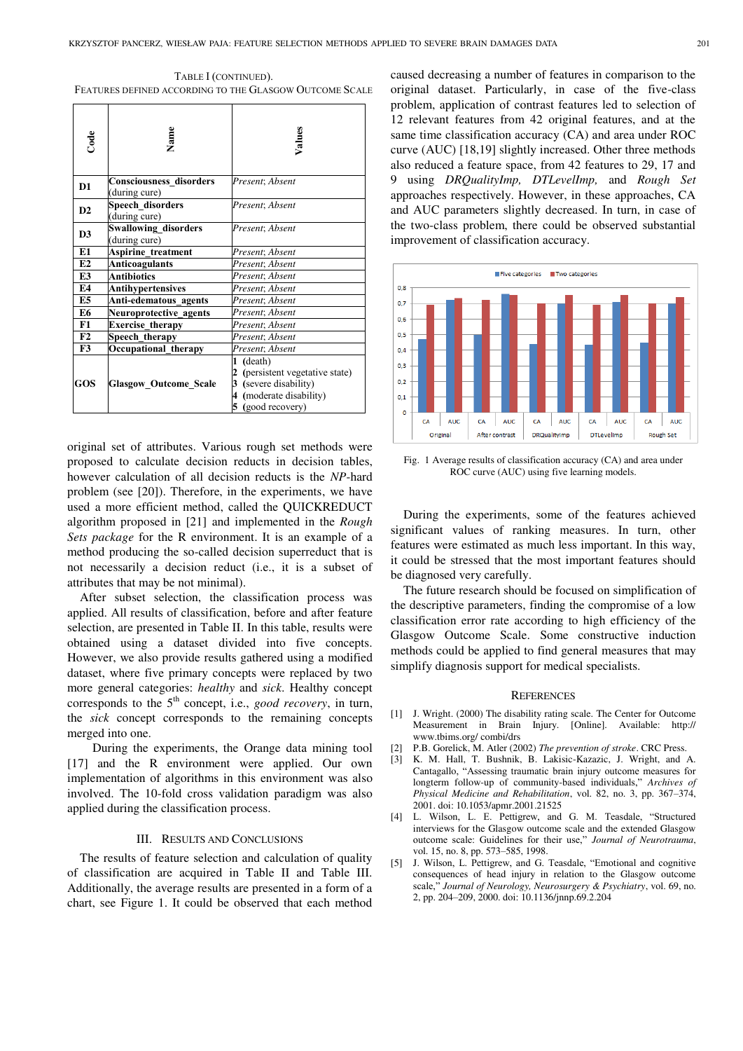| TABLE I (CONTINUED).                                    |
|---------------------------------------------------------|
| FEATURES DEFINED ACCORDING TO THE GLASGOW OUTCOME SCALE |

| Code           | Name                                            | Values                                                                                                                               |  |  |  |  |
|----------------|-------------------------------------------------|--------------------------------------------------------------------------------------------------------------------------------------|--|--|--|--|
| D1             | <b>Consciousness disorders</b><br>(during cure) | Present; Absent                                                                                                                      |  |  |  |  |
| D2             | Speech_disorders<br>(during cure)               | Present; Absent                                                                                                                      |  |  |  |  |
| D <sub>3</sub> | Swallowing_disorders<br>(during cure)           | Present; Absent                                                                                                                      |  |  |  |  |
| E1             | Aspirine_treatment                              | Present; Absent                                                                                                                      |  |  |  |  |
| E2             | Anticoagulants                                  | Present; Absent                                                                                                                      |  |  |  |  |
| E <sub>3</sub> | <b>Antibiotics</b>                              | Present; Absent                                                                                                                      |  |  |  |  |
| E4             | <b>Antihypertensives</b>                        | Present; Absent                                                                                                                      |  |  |  |  |
| E5             | Anti-edematous agents                           | Present; Absent                                                                                                                      |  |  |  |  |
| E6             | Neuroprotective agents                          | Present; Absent                                                                                                                      |  |  |  |  |
| F1             | <b>Exercise therapy</b>                         | Present; Absent                                                                                                                      |  |  |  |  |
| F2             | Speech therapy                                  | Present; Absent                                                                                                                      |  |  |  |  |
| F3             | Occupational therapy                            | Present; Absent                                                                                                                      |  |  |  |  |
| GOS            | <b>Glasgow Outcome Scale</b>                    | 1<br>(death)<br>(persistent vegetative state)<br>2<br>3<br>(severe disability)<br>(moderate disability)<br>4<br>(good recovery)<br>5 |  |  |  |  |

original set of attributes. Various rough set methods were proposed to calculate decision reducts in decision tables, however calculation of all decision reducts is the *NP*-hard problem (see [20]). Therefore, in the experiments, we have used a more efficient method, called the QUICKREDUCT algorithm proposed in [21] and implemented in the *Rough Sets package* for the R environment. It is an example of a method producing the so-called decision superreduct that is not necessarily a decision reduct (i.e., it is a subset of attributes that may be not minimal).

After subset selection, the classification process was applied. All results of classification, before and after feature selection, are presented in Table II. In this table, results were obtained using a dataset divided into five concepts. However, we also provide results gathered using a modified dataset, where five primary concepts were replaced by two more general categories: *healthy* and *sick*. Healthy concept corresponds to the 5<sup>th</sup> concept, i.e., *good recovery*, in turn, the *sick* concept corresponds to the remaining concepts merged into one.

 During the experiments, the Orange data mining tool [17] and the R environment were applied. Our own implementation of algorithms in this environment was also involved. The 10-fold cross validation paradigm was also applied during the classification process.

#### III. RESULTS AND CONCLUSIONS

The results of feature selection and calculation of quality of classification are acquired in Table II and Table III. Additionally, the average results are presented in a form of a chart, see Figure 1. It could be observed that each method

caused decreasing a number of features in comparison to the original dataset. Particularly, in case of the five-class problem, application of contrast features led to selection of 12 relevant features from 42 original features, and at the same time classification accuracy (CA) and area under ROC curve (AUC) [18,19] slightly increased. Other three methods also reduced a feature space, from 42 features to 29, 17 and 9 using *DRQualityImp, DTLevelImp,* and *Rough Set* approaches respectively. However, in these approaches, CA and AUC parameters slightly decreased. In turn, in case of the two-class problem, there could be observed substantial improvement of classification accuracy.



Fig. 1 Average results of classification accuracy (CA) and area under ROC curve (AUC) using five learning models.

During the experiments, some of the features achieved significant values of ranking measures. In turn, other features were estimated as much less important. In this way, it could be stressed that the most important features should be diagnosed very carefully.

The future research should be focused on simplification of the descriptive parameters, finding the compromise of a low classification error rate according to high efficiency of the Glasgow Outcome Scale. Some constructive induction methods could be applied to find general measures that may simplify diagnosis support for medical specialists.

#### **REFERENCES**

- [1] J. Wright. (2000) The disability rating scale. The Center for Outcome Measurement in Brain Injury. [Online]. Available: http:// www.tbims.org/ combi/drs
- [2] P.B. Gorelick, M. Atler (2002) *The prevention of stroke*. CRC Press.
- [3] K. M. Hall, T. Bushnik, B. Lakisic-Kazazic, J. Wright, and A. Cantagallo, "Assessing traumatic brain injury outcome measures for longterm follow-up of community-based individuals," *Archives of Physical Medicine and Rehabilitation*, vol. 82, no. 3, pp. 367–374, 2001. doi: 10.1053/apmr.2001.21525
- [4] L. Wilson, L. E. Pettigrew, and G. M. Teasdale, "Structured interviews for the Glasgow outcome scale and the extended Glasgow outcome scale: Guidelines for their use," *Journal of Neurotrauma*, vol. 15, no. 8, pp. 573–585, 1998.
- [5] J. Wilson, L. Pettigrew, and G. Teasdale, "Emotional and cognitive consequences of head injury in relation to the Glasgow outcome scale," *Journal of Neurology, Neurosurgery & Psychiatry*, vol. 69, no. 2, pp. 204–209, 2000. doi: 10.1136/jnnp.69.2.204